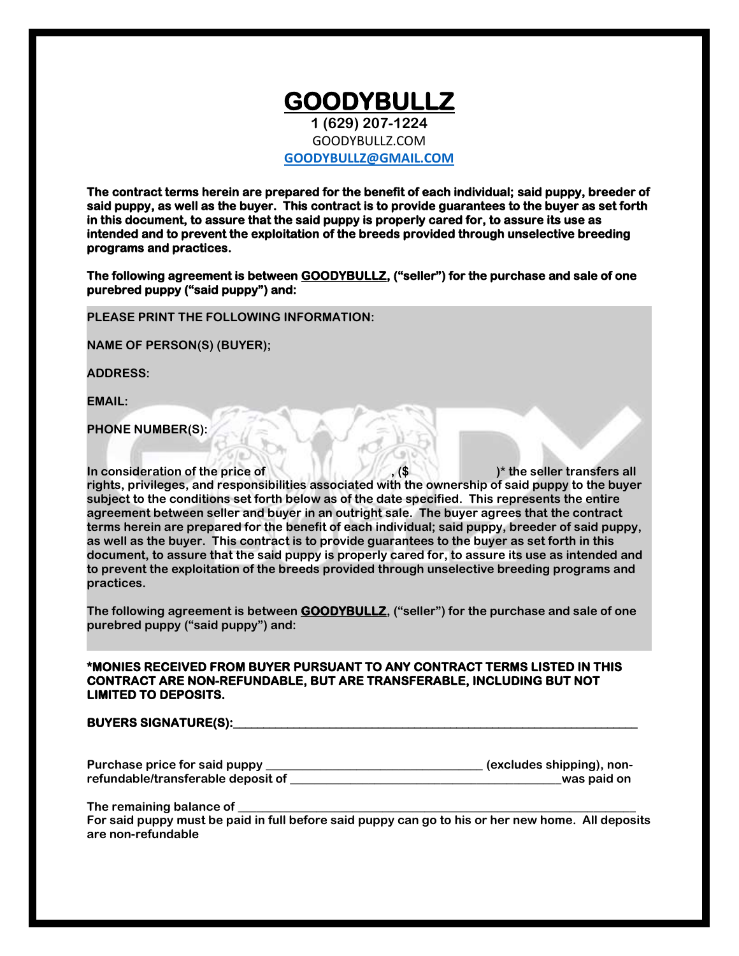### **GOODYBULLZ 1 (629) 207-1224** GOODYBULLZ.COM **[GOODYBULLZ@GMAIL.COM](mailto:GOODYBULLZ@GMAIL.COM)**

**The contract terms herein are prepared for the benefit of each individual; said puppy, breeder of said puppy, as well as the buyer. This contract is to provide guarantees to the buyer as set forth in this document, to assure that the said puppy is properly cared for, to assure its use as intended and to prevent the exploitation of the breeds provided through unselective breeding programs and practices.** 

**The following agreement is between GOODYBULLZ, ("seller") for the purchase and sale of one purebred puppy ("said puppy") and:** 

 **PLEASE PRINT THE FOLLOWING INFORMATION:**

**NAME OF PERSON(S) (BUYER);**

**ADDRESS:**

**EMAIL:**

**PHONE NUMBER(S):**

**In consideration of the price of , (\$ )\* the seller transfers all rights, privileges, and responsibilities associated with the ownership of said puppy to the buyer subject to the conditions set forth below as of the date specified. This represents the entire agreement between seller and buyer in an outright sale. The buyer agrees that the contract terms herein are prepared for the benefit of each individual; said puppy, breeder of said puppy, as well as the buyer. This contract is to provide guarantees to the buyer as set forth in this document, to assure that the said puppy is properly cared for, to assure its use as intended and to prevent the exploitation of the breeds provided through unselective breeding programs and practices.**

**The following agreement is between GOODYBULLZ, ("seller") for the purchase and sale of one purebred puppy ("said puppy") and:**

#### **\*MONIES RECEIVED FROM BUYER PURSUANT TO ANY CONTRACT TERMS LISTED IN THIS CONTRACT ARE NON-REFUNDABLE, BUT ARE TRANSFERABLE, INCLUDING BUT NOT LIMITED TO DEPOSITS.**

#### **BUYERS SIGNATURE(S):\_\_\_\_\_\_\_\_\_\_\_\_\_\_\_\_\_\_\_\_\_\_\_\_\_\_\_\_\_\_\_\_\_\_\_\_\_\_\_\_\_\_\_\_\_\_\_\_\_\_\_\_\_\_\_\_\_\_\_\_\_\_\_\_\_\_\_**

| Purchase price for said puppy      | (excludes shipping), non- |
|------------------------------------|---------------------------|
| refundable/transferable deposit of | was paid on               |

The remaining balance of

**For said puppy must be paid in full before said puppy can go to his or her new home. All deposits are non-refundable**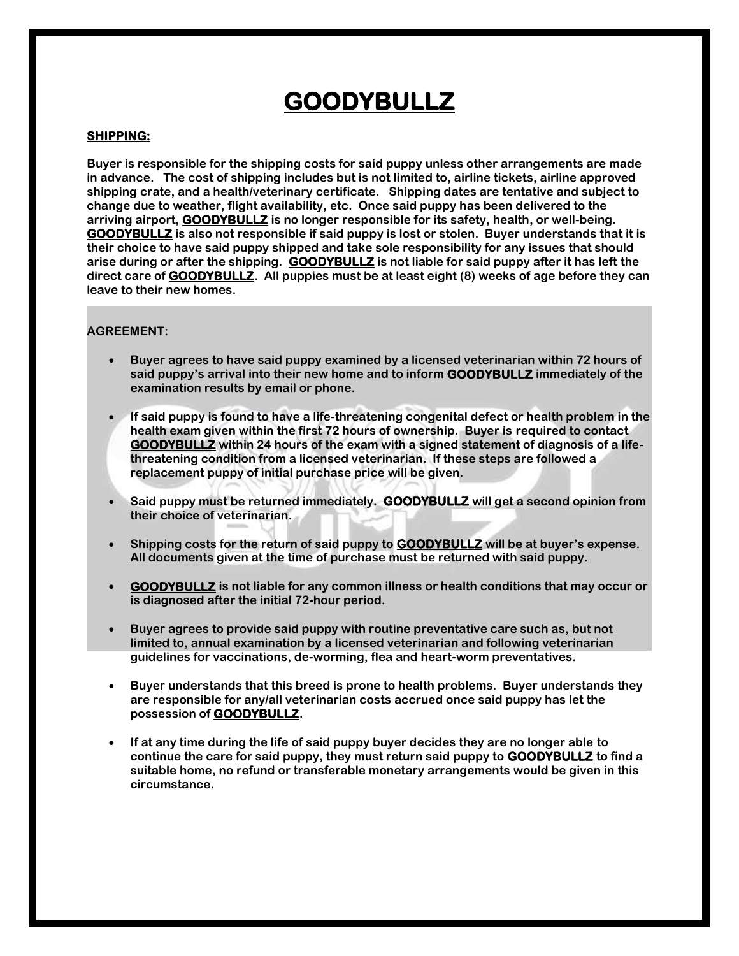### **SHIPPING:**

**Buyer is responsible for the shipping costs for said puppy unless other arrangements are made in advance. The cost of shipping includes but is not limited to, airline tickets, airline approved shipping crate, and a health/veterinary certificate. Shipping dates are tentative and subject to change due to weather, flight availability, etc. Once said puppy has been delivered to the arriving airport, GOODYBULLZ is no longer responsible for its safety, health, or well-being. GOODYBULLZ is also not responsible if said puppy is lost or stolen. Buyer understands that it is their choice to have said puppy shipped and take sole responsibility for any issues that should arise during or after the shipping. GOODYBULLZ is not liable for said puppy after it has left the direct care of GOODYBULLZ. All puppies must be at least eight (8) weeks of age before they can leave to their new homes.**

### **AGREEMENT:**

- **Buyer agrees to have said puppy examined by a licensed veterinarian within 72 hours of said puppy's arrival into their new home and to inform GOODYBULLZ immediately of the examination results by email or phone.**
- **If said puppy is found to have a life-threatening congenital defect or health problem in the health exam given within the first 72 hours of ownership. Buyer is required to contact GOODYBULLZ within 24 hours of the exam with a signed statement of diagnosis of a lifethreatening condition from a licensed veterinarian. If these steps are followed a replacement puppy of initial purchase price will be given.**
- **Said puppy must be returned immediately. GOODYBULLZ will get a second opinion from their choice of veterinarian.**
- **Shipping costs for the return of said puppy to GOODYBULLZ will be at buyer's expense. All documents given at the time of purchase must be returned with said puppy.**
- **GOODYBULLZ is not liable for any common illness or health conditions that may occur or is diagnosed after the initial 72-hour period.**
- **Buyer agrees to provide said puppy with routine preventative care such as, but not limited to, annual examination by a licensed veterinarian and following veterinarian guidelines for vaccinations, de-worming, flea and heart-worm preventatives.**
- **Buyer understands that this breed is prone to health problems. Buyer understands they are responsible for any/all veterinarian costs accrued once said puppy has let the possession of GOODYBULLZ.**
- **If at any time during the life of said puppy buyer decides they are no longer able to continue the care for said puppy, they must return said puppy to GOODYBULLZ to find a suitable home, no refund or transferable monetary arrangements would be given in this circumstance.**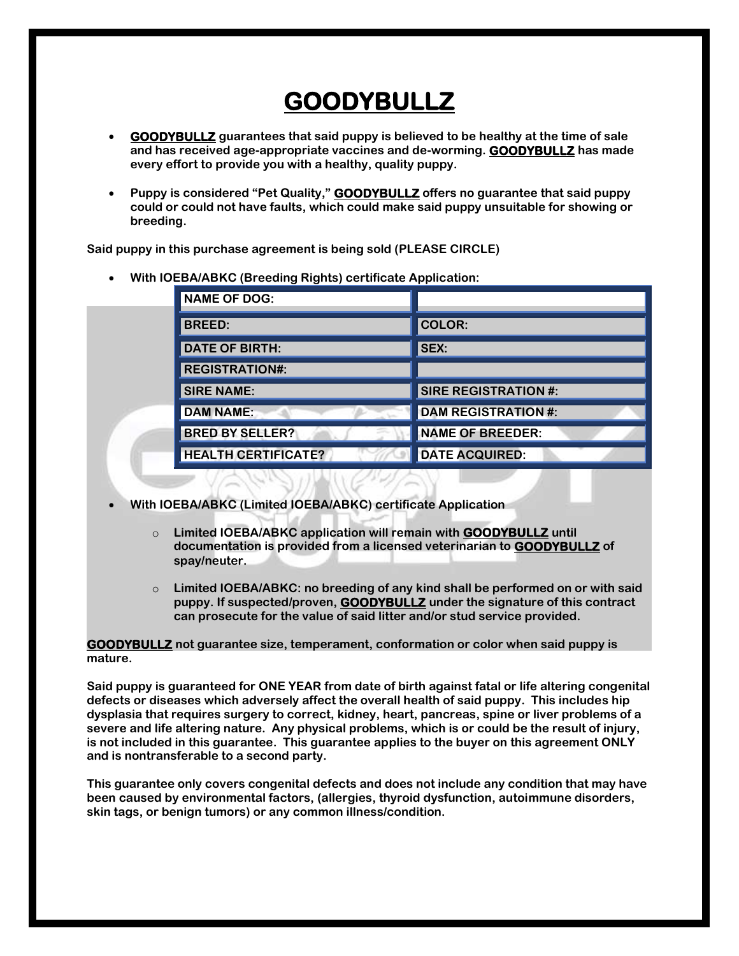- **GOODYBULLZ guarantees that said puppy is believed to be healthy at the time of sale and has received age-appropriate vaccines and de-worming. GOODYBULLZ has made every effort to provide you with a healthy, quality puppy.**
- **Puppy is considered "Pet Quality," GOODYBULLZ offers no guarantee that said puppy could or could not have faults, which could make said puppy unsuitable for showing or breeding.**

**Said puppy in this purchase agreement is being sold (PLEASE CIRCLE)**

**With IOEBA/ABKC (Breeding Rights) certificate Application:**

| <b>NAME OF DOG:</b>        |                             |
|----------------------------|-----------------------------|
| <b>BREED:</b>              | <b>COLOR:</b>               |
| <b>DATE OF BIRTH:</b>      | SEX:                        |
| <b>REGISTRATION#:</b>      |                             |
| <b>SIRE NAME:</b>          | <b>SIRE REGISTRATION #:</b> |
| <b>DAM NAME:</b>           | <b>DAM REGISTRATION #:</b>  |
| <b>BRED BY SELLER?</b>     | <b>NAME OF BREEDER:</b>     |
| <b>HEALTH CERTIFICATE?</b> | <b>DATE ACQUIRED:</b>       |

- **With IOEBA/ABKC (Limited IOEBA/ABKC) certificate Application**
	- o **Limited IOEBA/ABKC application will remain with GOODYBULLZ until documentation is provided from a licensed veterinarian to GOODYBULLZ of spay/neuter.**
	- o **Limited IOEBA/ABKC: no breeding of any kind shall be performed on or with said puppy. If suspected/proven, GOODYBULLZ under the signature of this contract can prosecute for the value of said litter and/or stud service provided.**

**GOODYBULLZ not guarantee size, temperament, conformation or color when said puppy is mature.**

**Said puppy is guaranteed for ONE YEAR from date of birth against fatal or life altering congenital defects or diseases which adversely affect the overall health of said puppy. This includes hip dysplasia that requires surgery to correct, kidney, heart, pancreas, spine or liver problems of a severe and life altering nature. Any physical problems, which is or could be the result of injury, is not included in this guarantee. This guarantee applies to the buyer on this agreement ONLY and is nontransferable to a second party.**

**This guarantee only covers congenital defects and does not include any condition that may have been caused by environmental factors, (allergies, thyroid dysfunction, autoimmune disorders, skin tags, or benign tumors) or any common illness/condition.**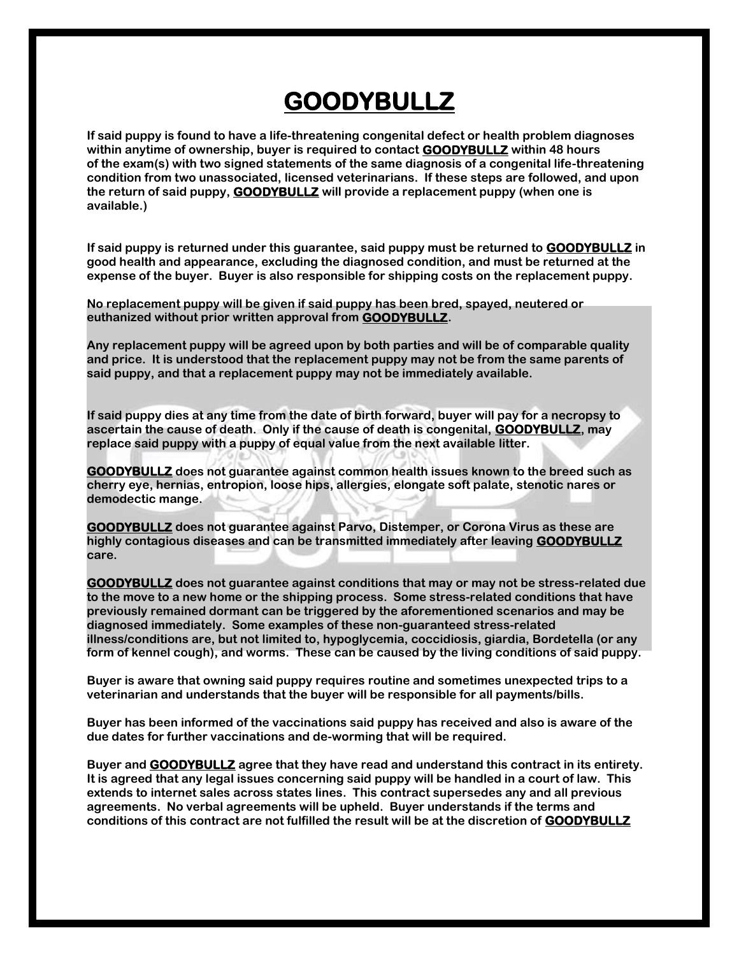**If said puppy is found to have a life-threatening congenital defect or health problem diagnoses within anytime of ownership, buyer is required to contact GOODYBULLZ within 48 hours of the exam(s) with two signed statements of the same diagnosis of a congenital life-threatening condition from two unassociated, licensed veterinarians. If these steps are followed, and upon the return of said puppy, GOODYBULLZ will provide a replacement puppy (when one is available.)**

**If said puppy is returned under this guarantee, said puppy must be returned to GOODYBULLZ in good health and appearance, excluding the diagnosed condition, and must be returned at the expense of the buyer. Buyer is also responsible for shipping costs on the replacement puppy.**

**No replacement puppy will be given if said puppy has been bred, spayed, neutered or euthanized without prior written approval from GOODYBULLZ.**

**Any replacement puppy will be agreed upon by both parties and will be of comparable quality and price. It is understood that the replacement puppy may not be from the same parents of said puppy, and that a replacement puppy may not be immediately available.**

**If said puppy dies at any time from the date of birth forward, buyer will pay for a necropsy to ascertain the cause of death. Only if the cause of death is congenital, GOODYBULLZ, may replace said puppy with a puppy of equal value from the next available litter.**

**GOODYBULLZ does not guarantee against common health issues known to the breed such as cherry eye, hernias, entropion, loose hips, allergies, elongate soft palate, stenotic nares or demodectic mange.**

**GOODYBULLZ does not guarantee against Parvo, Distemper, or Corona Virus as these are highly contagious diseases and can be transmitted immediately after leaving GOODYBULLZ care.**

**GOODYBULLZ does not guarantee against conditions that may or may not be stress-related due to the move to a new home or the shipping process. Some stress-related conditions that have previously remained dormant can be triggered by the aforementioned scenarios and may be diagnosed immediately. Some examples of these non-guaranteed stress-related illness/conditions are, but not limited to, hypoglycemia, coccidiosis, giardia, Bordetella (or any form of kennel cough), and worms. These can be caused by the living conditions of said puppy.**

**Buyer is aware that owning said puppy requires routine and sometimes unexpected trips to a veterinarian and understands that the buyer will be responsible for all payments/bills.**

**Buyer has been informed of the vaccinations said puppy has received and also is aware of the due dates for further vaccinations and de-worming that will be required.**

**Buyer and GOODYBULLZ agree that they have read and understand this contract in its entirety. It is agreed that any legal issues concerning said puppy will be handled in a court of law. This extends to internet sales across states lines. This contract supersedes any and all previous agreements. No verbal agreements will be upheld. Buyer understands if the terms and conditions of this contract are not fulfilled the result will be at the discretion of GOODYBULLZ**